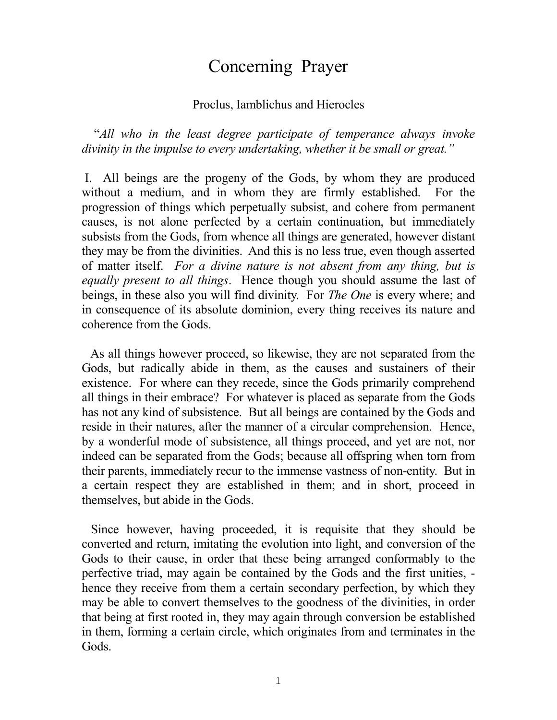## Concerning Prayer

## Proclus, Iamblichus and Hierocles

 "*All who in the least degree participate of temperance always invoke divinity in the impulse to every undertaking, whether it be small or great."*

I. All beings are the progeny of the Gods, by whom they are produced without a medium, and in whom they are firmly established. For the progression of things which perpetually subsist, and cohere from permanent causes, is not alone perfected by a certain continuation, but immediately subsists from the Gods, from whence all things are generated, however distant they may be from the divinities. And this is no less true, even though asserted of matter itself. *For a divine nature is not absent from any thing, but is equally present to all things*. Hence though you should assume the last of beings, in these also you will find divinity. For *The One* is every where; and in consequence of its absolute dominion, every thing receives its nature and coherence from the Gods.

 As all things however proceed, so likewise, they are not separated from the Gods, but radically abide in them, as the causes and sustainers of their existence. For where can they recede, since the Gods primarily comprehend all things in their embrace? For whatever is placed as separate from the Gods has not any kind of subsistence. But all beings are contained by the Gods and reside in their natures, after the manner of a circular comprehension. Hence, by a wonderful mode of subsistence, all things proceed, and yet are not, nor indeed can be separated from the Gods; because all offspring when torn from their parents, immediately recur to the immense vastness of non-entity. But in a certain respect they are established in them; and in short, proceed in themselves, but abide in the Gods.

 Since however, having proceeded, it is requisite that they should be converted and return, imitating the evolution into light, and conversion of the Gods to their cause, in order that these being arranged conformably to the perfective triad, may again be contained by the Gods and the first unities, hence they receive from them a certain secondary perfection, by which they may be able to convert themselves to the goodness of the divinities, in order that being at first rooted in, they may again through conversion be established in them, forming a certain circle, which originates from and terminates in the Gods.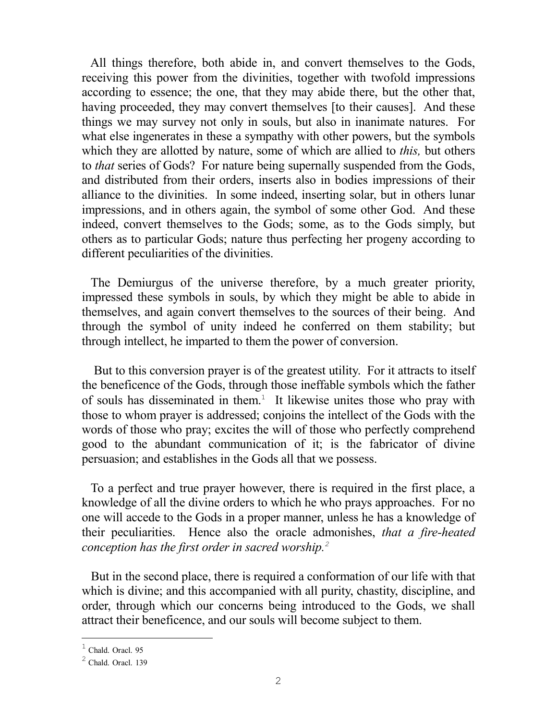All things therefore, both abide in, and convert themselves to the Gods, receiving this power from the divinities, together with twofold impressions according to essence; the one, that they may abide there, but the other that, having proceeded, they may convert themselves [to their causes]. And these things we may survey not only in souls, but also in inanimate natures. For what else ingenerates in these a sympathy with other powers, but the symbols which they are allotted by nature, some of which are allied to *this,* but others to *that* series of Gods? For nature being supernally suspended from the Gods, and distributed from their orders, inserts also in bodies impressions of their alliance to the divinities. In some indeed, inserting solar, but in others lunar impressions, and in others again, the symbol of some other God. And these indeed, convert themselves to the Gods; some, as to the Gods simply, but others as to particular Gods; nature thus perfecting her progeny according to different peculiarities of the divinities.

 The Demiurgus of the universe therefore, by a much greater priority, impressed these symbols in souls, by which they might be able to abide in themselves, and again convert themselves to the sources of their being. And through the symbol of unity indeed he conferred on them stability; but through intellect, he imparted to them the power of conversion.

 But to this conversion prayer is of the greatest utility. For it attracts to itself the beneficence of the Gods, through those ineffable symbols which the father of souls has disseminated in them.<sup>1</sup> It likewise unites those who pray with those to whom prayer is addressed; conjoins the intellect of the Gods with the words of those who pray; excites the will of those who perfectly comprehend good to the abundant communication of it; is the fabricator of divine persuasion; and establishes in the Gods all that we possess.

 To a perfect and true prayer however, there is required in the first place, a knowledge of all the divine orders to which he who prays approaches. For no one will accede to the Gods in a proper manner, unless he has a knowledge of their peculiarities. Hence also the oracle admonishes, *that a fire-heated conception has the first order in sacred worship. 2*

 But in the second place, there is required a conformation of our life with that which is divine; and this accompanied with all purity, chastity, discipline, and order, through which our concerns being introduced to the Gods, we shall attract their beneficence, and our souls will become subject to them.

<sup>&</sup>lt;sup>1</sup> Chald. Oracl. 95

<sup>2</sup> Chald. Oracl. 139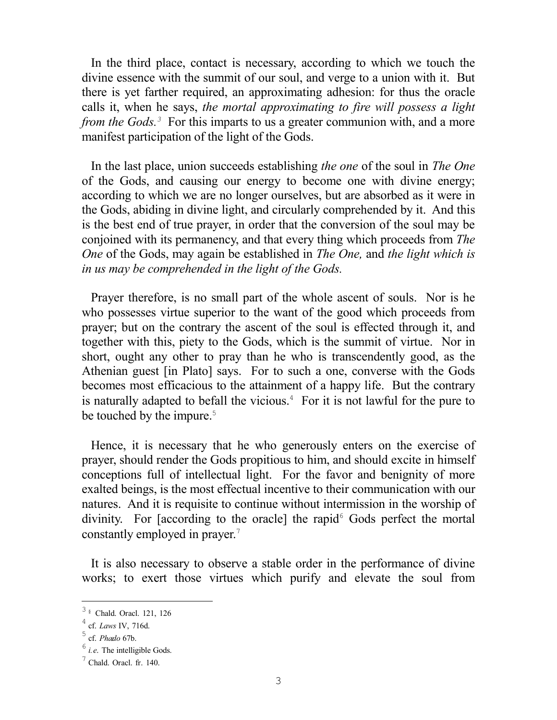In the third place, contact is necessary, according to which we touch the divine essence with the summit of our soul, and verge to a union with it. But there is yet farther required, an approximating adhesion: for thus the oracle calls it, when he says, *the mortal approximating to fire will possess a light*  from the Gods.<sup>3</sup> For this imparts to us a greater communion with, and a more manifest participation of the light of the Gods.

 In the last place, union succeeds establishing *the one* of the soul in *The One* of the Gods, and causing our energy to become one with divine energy; according to which we are no longer ourselves, but are absorbed as it were in the Gods, abiding in divine light, and circularly comprehended by it. And this is the best end of true prayer, in order that the conversion of the soul may be conjoined with its permanency, and that every thing which proceeds from *The One* of the Gods, may again be established in *The One,* and *the light which is in us may be comprehended in the light of the Gods.*

 Prayer therefore, is no small part of the whole ascent of souls. Nor is he who possesses virtue superior to the want of the good which proceeds from prayer; but on the contrary the ascent of the soul is effected through it, and together with this, piety to the Gods, which is the summit of virtue. Nor in short, ought any other to pray than he who is transcendently good, as the Athenian guest [in Plato] says. For to such a one, converse with the Gods becomes most efficacious to the attainment of a happy life. But the contrary is naturally adapted to befall the vicious. $4$  For it is not lawful for the pure to be touched by the impure.<sup>5</sup>

 Hence, it is necessary that he who generously enters on the exercise of prayer, should render the Gods propitious to him, and should excite in himself conceptions full of intellectual light. For the favor and benignity of more exalted beings, is the most effectual incentive to their communication with our natures. And it is requisite to continue without intermission in the worship of divinity. For [according to the oracle] the rapid $6$  Gods perfect the mortal constantly employed in prayer.<sup>7</sup>

 It is also necessary to observe a stable order in the performance of divine works; to exert those virtues which purify and elevate the soul from

<sup>&</sup>lt;sup>3</sup> § Chald. Oracl. 121, 126

<sup>4</sup> cf. *Laws* IV, 716d.

<sup>5</sup> cf. *Phædo* 67b.

<sup>6</sup> *i.e*. The intelligible Gods.

<sup>7</sup> Chald. Oracl. fr. 140.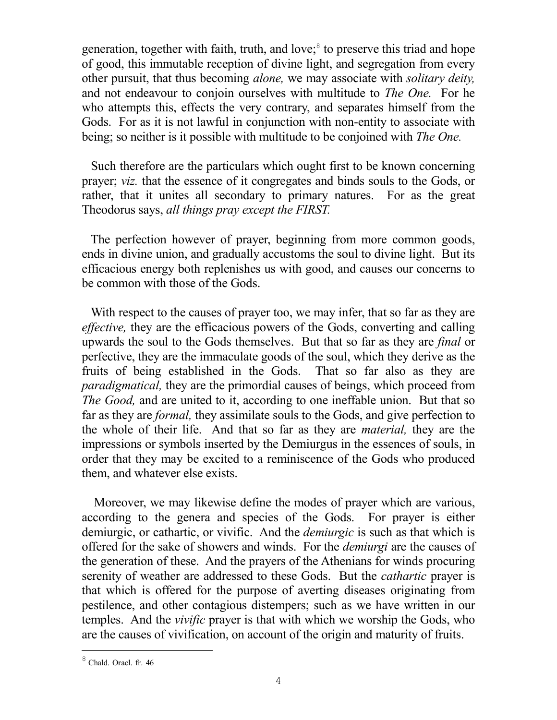generation, together with faith, truth, and love;<sup>8</sup> to preserve this triad and hope of good, this immutable reception of divine light, and segregation from every other pursuit, that thus becoming *alone,* we may associate with *solitary deity,* and not endeavour to conjoin ourselves with multitude to *The One.* For he who attempts this, effects the very contrary, and separates himself from the Gods. For as it is not lawful in conjunction with non-entity to associate with being; so neither is it possible with multitude to be conjoined with *The One.*

 Such therefore are the particulars which ought first to be known concerning prayer; *viz.* that the essence of it congregates and binds souls to the Gods, or rather, that it unites all secondary to primary natures. For as the great Theodorus says, *all things pray except the FIRST.*

 The perfection however of prayer, beginning from more common goods, ends in divine union, and gradually accustoms the soul to divine light. But its efficacious energy both replenishes us with good, and causes our concerns to be common with those of the Gods.

 With respect to the causes of prayer too, we may infer, that so far as they are *effective,* they are the efficacious powers of the Gods, converting and calling upwards the soul to the Gods themselves. But that so far as they are *final* or perfective, they are the immaculate goods of the soul, which they derive as the fruits of being established in the Gods. That so far also as they are *paradigmatical,* they are the primordial causes of beings, which proceed from *The Good,* and are united to it, according to one ineffable union. But that so far as they are *formal,* they assimilate souls to the Gods, and give perfection to the whole of their life. And that so far as they are *material,* they are the impressions or symbols inserted by the Demiurgus in the essences of souls, in order that they may be excited to a reminiscence of the Gods who produced them, and whatever else exists.

 Moreover, we may likewise define the modes of prayer which are various, according to the genera and species of the Gods. For prayer is either demiurgic, or cathartic, or vivific. And the *demiurgic* is such as that which is offered for the sake of showers and winds. For the *demiurgi* are the causes of the generation of these. And the prayers of the Athenians for winds procuring serenity of weather are addressed to these Gods. But the *cathartic* prayer is that which is offered for the purpose of averting diseases originating from pestilence, and other contagious distempers; such as we have written in our temples. And the *vivific* prayer is that with which we worship the Gods, who are the causes of vivification, on account of the origin and maturity of fruits.

<sup>8</sup> Chald. Oracl. fr. 46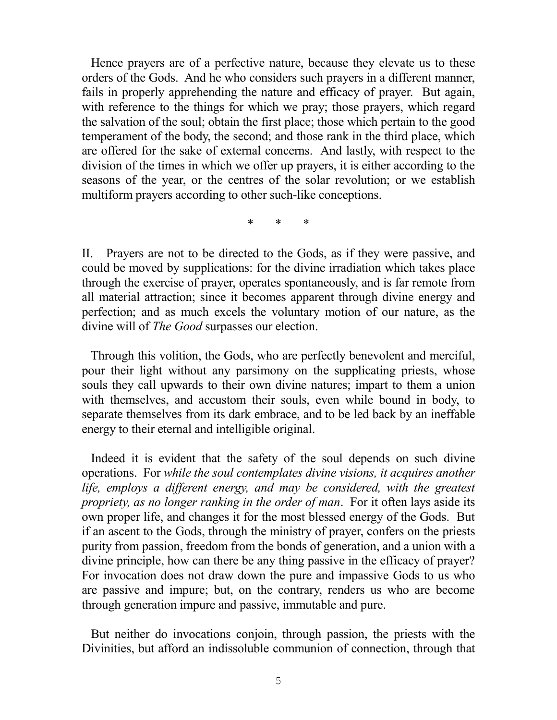Hence prayers are of a perfective nature, because they elevate us to these orders of the Gods. And he who considers such prayers in a different manner, fails in properly apprehending the nature and efficacy of prayer. But again, with reference to the things for which we pray; those prayers, which regard the salvation of the soul; obtain the first place; those which pertain to the good temperament of the body, the second; and those rank in the third place, which are offered for the sake of external concerns. And lastly, with respect to the division of the times in which we offer up prayers, it is either according to the seasons of the year, or the centres of the solar revolution; or we establish multiform prayers according to other such-like conceptions.

\* \* \*

II. Prayers are not to be directed to the Gods, as if they were passive, and could be moved by supplications: for the divine irradiation which takes place through the exercise of prayer, operates spontaneously, and is far remote from all material attraction; since it becomes apparent through divine energy and perfection; and as much excels the voluntary motion of our nature, as the divine will of *The Good* surpasses our election.

 Through this volition, the Gods, who are perfectly benevolent and merciful, pour their light without any parsimony on the supplicating priests, whose souls they call upwards to their own divine natures; impart to them a union with themselves, and accustom their souls, even while bound in body, to separate themselves from its dark embrace, and to be led back by an ineffable energy to their eternal and intelligible original.

 Indeed it is evident that the safety of the soul depends on such divine operations. For *while the soul contemplates divine visions, it acquires another*  life, employs a different energy, and may be considered, with the greatest *propriety, as no longer ranking in the order of man*. For it often lays aside its own proper life, and changes it for the most blessed energy of the Gods. But if an ascent to the Gods, through the ministry of prayer, confers on the priests purity from passion, freedom from the bonds of generation, and a union with a divine principle, how can there be any thing passive in the efficacy of prayer? For invocation does not draw down the pure and impassive Gods to us who are passive and impure; but, on the contrary, renders us who are become through generation impure and passive, immutable and pure.

 But neither do invocations conjoin, through passion, the priests with the Divinities, but afford an indissoluble communion of connection, through that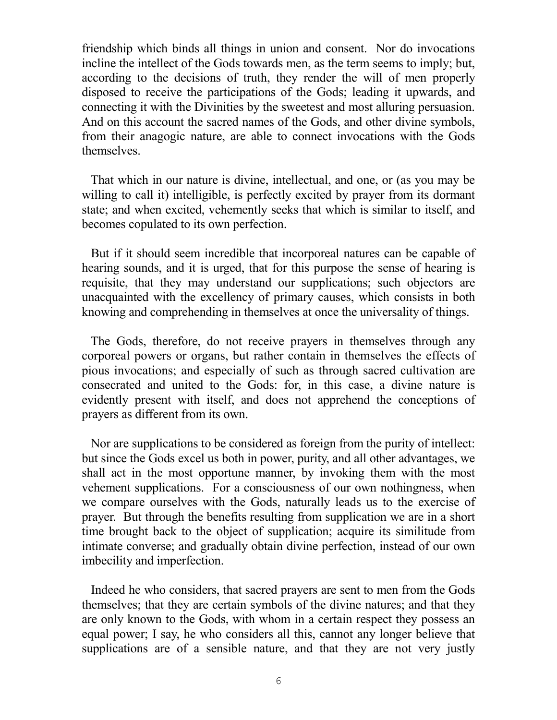friendship which binds all things in union and consent. Nor do invocations incline the intellect of the Gods towards men, as the term seems to imply; but, according to the decisions of truth, they render the will of men properly disposed to receive the participations of the Gods; leading it upwards, and connecting it with the Divinities by the sweetest and most alluring persuasion. And on this account the sacred names of the Gods, and other divine symbols, from their anagogic nature, are able to connect invocations with the Gods themselves.

 That which in our nature is divine, intellectual, and one, or (as you may be willing to call it) intelligible, is perfectly excited by prayer from its dormant state; and when excited, vehemently seeks that which is similar to itself, and becomes copulated to its own perfection.

 But if it should seem incredible that incorporeal natures can be capable of hearing sounds, and it is urged, that for this purpose the sense of hearing is requisite, that they may understand our supplications; such objectors are unacquainted with the excellency of primary causes, which consists in both knowing and comprehending in themselves at once the universality of things.

 The Gods, therefore, do not receive prayers in themselves through any corporeal powers or organs, but rather contain in themselves the effects of pious invocations; and especially of such as through sacred cultivation are consecrated and united to the Gods: for, in this case, a divine nature is evidently present with itself, and does not apprehend the conceptions of prayers as different from its own.

 Nor are supplications to be considered as foreign from the purity of intellect: but since the Gods excel us both in power, purity, and all other advantages, we shall act in the most opportune manner, by invoking them with the most vehement supplications. For a consciousness of our own nothingness, when we compare ourselves with the Gods, naturally leads us to the exercise of prayer. But through the benefits resulting from supplication we are in a short time brought back to the object of supplication; acquire its similitude from intimate converse; and gradually obtain divine perfection, instead of our own imbecility and imperfection.

 Indeed he who considers, that sacred prayers are sent to men from the Gods themselves; that they are certain symbols of the divine natures; and that they are only known to the Gods, with whom in a certain respect they possess an equal power; I say, he who considers all this, cannot any longer believe that supplications are of a sensible nature, and that they are not very justly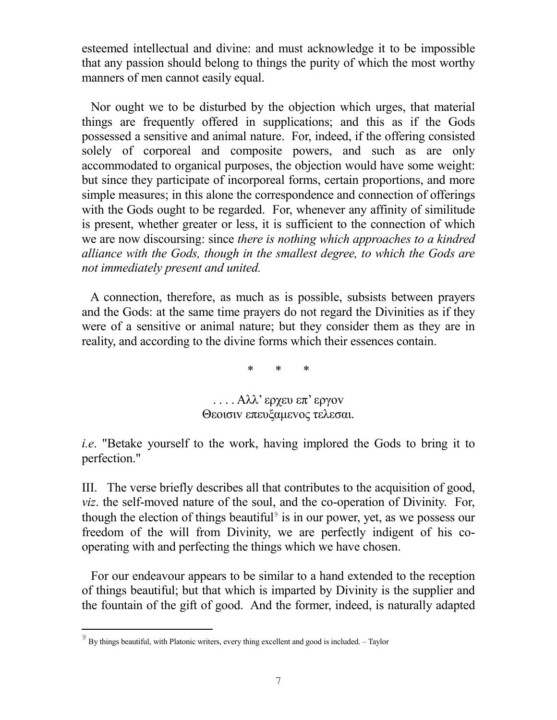esteemed intellectual and divine: and must acknowledge it to be impossible that any passion should belong to things the purity of which the most worthy manners of men cannot easily equal.

 Nor ought we to be disturbed by the objection which urges, that material things are frequently offered in supplications; and this as if the Gods possessed a sensitive and animal nature. For, indeed, if the offering consisted solely of corporeal and composite powers, and such as are only accommodated to organical purposes, the objection would have some weight: but since they participate of incorporeal forms, certain proportions, and more simple measures; in this alone the correspondence and connection of offerings with the Gods ought to be regarded. For, whenever any affinity of similitude is present, whether greater or less, it is sufficient to the connection of which we are now discoursing: since *there is nothing which approaches to a kindred alliance with the Gods, though in the smallest degree, to which the Gods are not immediately present and united.* 

 A connection, therefore, as much as is possible, subsists between prayers and the Gods: at the same time prayers do not regard the Divinities as if they were of a sensitive or animal nature; but they consider them as they are in reality, and according to the divine forms which their essences contain.

\* \* \*

.... Αλλ' ερχευ επ' εργον Θεοισιν επευξαμενος τελεσαι.

*i.e*. "Betake yourself to the work, having implored the Gods to bring it to perfection."

III. The verse briefly describes all that contributes to the acquisition of good, *viz*. the self-moved nature of the soul, and the co-operation of Divinity. For, though the election of things beautiful $\beta$  is in our power, yet, as we possess our freedom of the will from Divinity, we are perfectly indigent of his cooperating with and perfecting the things which we have chosen.

 For our endeavour appears to be similar to a hand extended to the reception of things beautiful; but that which is imparted by Divinity is the supplier and the fountain of the gift of good. And the former, indeed, is naturally adapted

<sup>&</sup>lt;sup>9</sup> By things beautiful, with Platonic writers, every thing excellent and good is included. – Taylor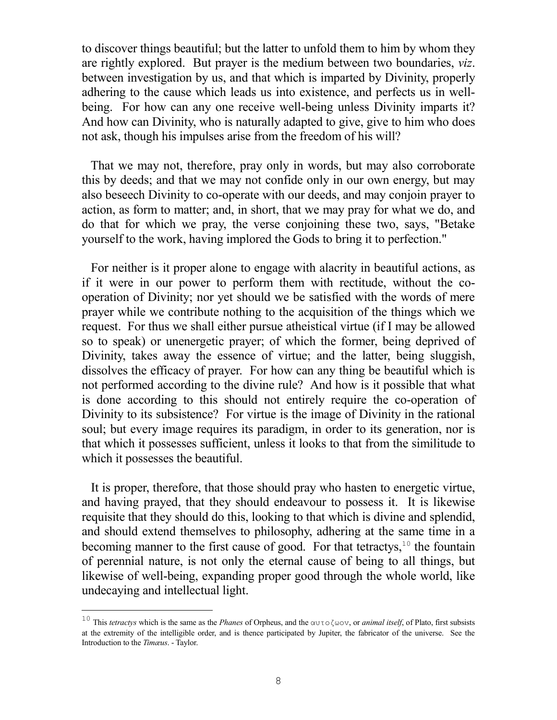to discover things beautiful; but the latter to unfold them to him by whom they are rightly explored. But prayer is the medium between two boundaries, *viz*. between investigation by us, and that which is imparted by Divinity, properly adhering to the cause which leads us into existence, and perfects us in wellbeing. For how can any one receive well-being unless Divinity imparts it? And how can Divinity, who is naturally adapted to give, give to him who does not ask, though his impulses arise from the freedom of his will?

 That we may not, therefore, pray only in words, but may also corroborate this by deeds; and that we may not confide only in our own energy, but may also beseech Divinity to co-operate with our deeds, and may conjoin prayer to action, as form to matter; and, in short, that we may pray for what we do, and do that for which we pray, the verse conjoining these two, says, "Betake yourself to the work, having implored the Gods to bring it to perfection."

 For neither is it proper alone to engage with alacrity in beautiful actions, as if it were in our power to perform them with rectitude, without the cooperation of Divinity; nor yet should we be satisfied with the words of mere prayer while we contribute nothing to the acquisition of the things which we request. For thus we shall either pursue atheistical virtue (if I may be allowed so to speak) or unenergetic prayer; of which the former, being deprived of Divinity, takes away the essence of virtue; and the latter, being sluggish, dissolves the efficacy of prayer. For how can any thing be beautiful which is not performed according to the divine rule? And how is it possible that what is done according to this should not entirely require the co-operation of Divinity to its subsistence? For virtue is the image of Divinity in the rational soul; but every image requires its paradigm, in order to its generation, nor is that which it possesses sufficient, unless it looks to that from the similitude to which it possesses the beautiful.

 It is proper, therefore, that those should pray who hasten to energetic virtue, and having prayed, that they should endeavour to possess it. It is likewise requisite that they should do this, looking to that which is divine and splendid, and should extend themselves to philosophy, adhering at the same time in a becoming manner to the first cause of good. For that tetractys, $10$  the fountain of perennial nature, is not only the eternal cause of being to all things, but likewise of well-being, expanding proper good through the whole world, like undecaying and intellectual light.

<sup>10</sup> This *tetractys* which is the same as the *Phanes* of Orpheus, and the αυτoζωov, or *animal itself*, of Plato, first subsists at the extremity of the intelligible order, and is thence participated by Jupiter, the fabricator of the universe. See the Introduction to the *Timæus*. - Taylor.